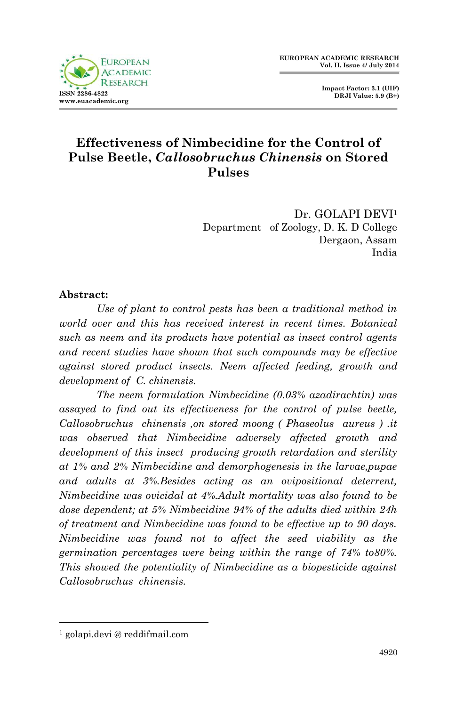

 **Impact Factor: 3.1 (UIF) DRJI Value: 5.9 (B+)**

# **Effectiveness of Nimbecidine for the Control of Pulse Beetle,** *Callosobruchus Chinensis* **on Stored Pulses**

Dr. GOLAPI DEVI<sup>1</sup> Department of Zoology, D. K. D College Dergaon, Assam India

#### **Abstract:**

*Use of plant to control pests has been a traditional method in world over and this has received interest in recent times. Botanical such as neem and its products have potential as insect control agents and recent studies have shown that such compounds may be effective against stored product insects. Neem affected feeding, growth and development of C. chinensis.* 

*The neem formulation Nimbecidine (0.03% azadirachtin) was assayed to find out its effectiveness for the control of pulse beetle, Callosobruchus chinensis ,on stored moong ( Phaseolus aureus ) .it was observed that Nimbecidine adversely affected growth and development of this insect producing growth retardation and sterility at 1% and 2% Nimbecidine and demorphogenesis in the larvae,pupae and adults at 3%.Besides acting as an ovipositional deterrent, Nimbecidine was ovicidal at 4%.Adult mortality was also found to be dose dependent; at 5% Nimbecidine 94% of the adults died within 24h of treatment and Nimbecidine was found to be effective up to 90 days. Nimbecidine was found not to affect the seed viability as the germination percentages were being within the range of 74% to80%. This showed the potentiality of Nimbecidine as a biopesticide against Callosobruchus chinensis.* 

1

<sup>1</sup> golapi.devi @ reddifmail.com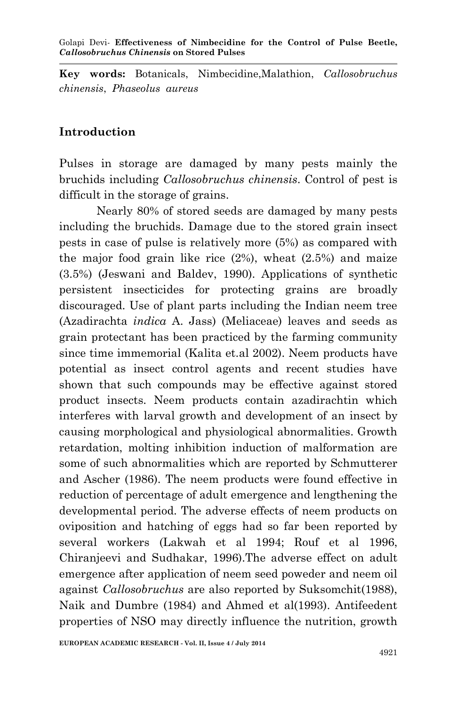**Key words:** Botanicals, Nimbecidine,Malathion, *Callosobruchus chinensis*, *Phaseolus aureus*

## **Introduction**

Pulses in storage are damaged by many pests mainly the bruchids including *Callosobruchus chinensis*. Control of pest is difficult in the storage of grains.

Nearly 80% of stored seeds are damaged by many pests including the bruchids. Damage due to the stored grain insect pests in case of pulse is relatively more (5%) as compared with the major food grain like rice  $(2%)$ , wheat  $(2.5%)$  and maize (3.5%) (Jeswani and Baldev, 1990). Applications of synthetic persistent insecticides for protecting grains are broadly discouraged. Use of plant parts including the Indian neem tree (Azadirachta *indica* A. Jass) (Meliaceae) leaves and seeds as grain protectant has been practiced by the farming community since time immemorial (Kalita et.al 2002). Neem products have potential as insect control agents and recent studies have shown that such compounds may be effective against stored product insects. Neem products contain azadirachtin which interferes with larval growth and development of an insect by causing morphological and physiological abnormalities. Growth retardation, molting inhibition induction of malformation are some of such abnormalities which are reported by Schmutterer and Ascher (1986). The neem products were found effective in reduction of percentage of adult emergence and lengthening the developmental period. The adverse effects of neem products on oviposition and hatching of eggs had so far been reported by several workers (Lakwah et al 1994; Rouf et al 1996, Chiranjeevi and Sudhakar, 1996).The adverse effect on adult emergence after application of neem seed poweder and neem oil against *Callosobruchus* are also reported by Suksomchit(1988), Naik and Dumbre (1984) and Ahmed et al(1993). Antifeedent properties of NSO may directly influence the nutrition, growth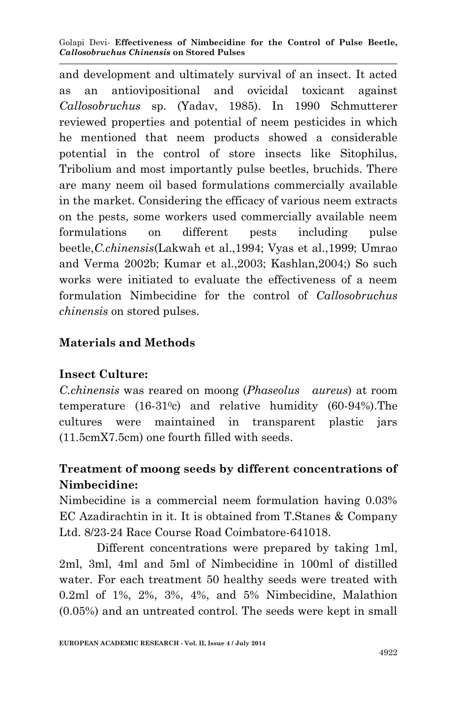Golapi Devi*-* **Effectiveness of Nimbecidine for the Control of Pulse Beetle,**  *Callosobruchus Chinensis* **on Stored Pulses**

and development and ultimately survival of an insect. It acted as an antiovipositional and ovicidal toxicant against *Callosobruchus* sp. (Yadav, 1985). In 1990 Schmutterer reviewed properties and potential of neem pesticides in which he mentioned that neem products showed a considerable potential in the control of store insects like Sitophilus, Tribolium and most importantly pulse beetles, bruchids. There are many neem oil based formulations commercially available in the market. Considering the efficacy of various neem extracts on the pests, some workers used commercially available neem formulations on different pests including pulse beetle,*C.chinensis*(Lakwah et al.,1994; Vyas et al.,1999; Umrao and Verma 2002b; Kumar et al.,2003; Kashlan,2004;) So such works were initiated to evaluate the effectiveness of a neem formulation Nimbecidine for the control of *Callosobruchus chinensis* on stored pulses.

### **Materials and Methods**

### **Insect Culture:**

*C.chinensis* was reared on moong (*Phaseolus aureus*) at room temperature  $(16-31)$ <sup>o</sup>c) and relative humidity  $(60-94)$ . The cultures were maintained in transparent plastic jars (11.5cmX7.5cm) one fourth filled with seeds.

# **Treatment of moong seeds by different concentrations of Nimbecidine:**

Nimbecidine is a commercial neem formulation having 0.03% EC Azadirachtin in it. It is obtained from T.Stanes & Company Ltd. 8/23-24 Race Course Road Coimbatore-641018.

Different concentrations were prepared by taking 1ml, 2ml, 3ml, 4ml and 5ml of Nimbecidine in 100ml of distilled water. For each treatment 50 healthy seeds were treated with 0.2ml of 1%, 2%, 3%, 4%, and 5% Nimbecidine, Malathion (0.05%) and an untreated control. The seeds were kept in small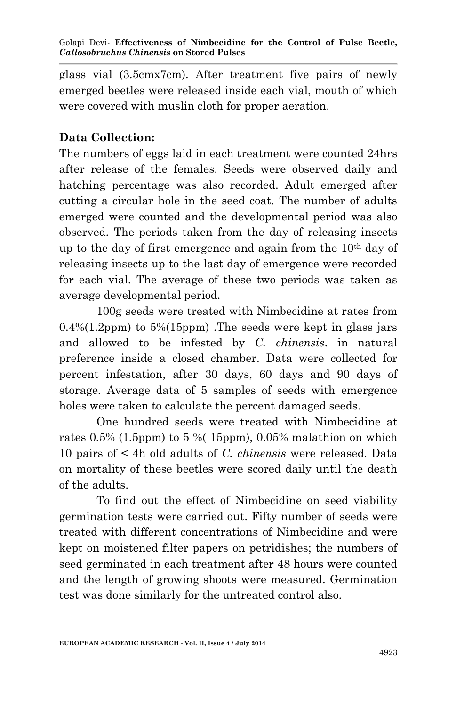glass vial (3.5cmx7cm). After treatment five pairs of newly emerged beetles were released inside each vial, mouth of which were covered with muslin cloth for proper aeration.

## **Data Collection:**

The numbers of eggs laid in each treatment were counted 24hrs after release of the females. Seeds were observed daily and hatching percentage was also recorded. Adult emerged after cutting a circular hole in the seed coat. The number of adults emerged were counted and the developmental period was also observed. The periods taken from the day of releasing insects up to the day of first emergence and again from the  $10<sup>th</sup>$  day of releasing insects up to the last day of emergence were recorded for each vial. The average of these two periods was taken as average developmental period.

100g seeds were treated with Nimbecidine at rates from  $0.4\%(1.2ppm)$  to  $5\%(15ppm)$ . The seeds were kept in glass jars and allowed to be infested by *C. chinensis*. in natural preference inside a closed chamber. Data were collected for percent infestation, after 30 days, 60 days and 90 days of storage. Average data of 5 samples of seeds with emergence holes were taken to calculate the percent damaged seeds.

One hundred seeds were treated with Nimbecidine at rates  $0.5\%$  (1.5ppm) to 5 % (1.5ppm), 0.05% malathion on which 10 pairs of < 4h old adults of *C. chinensis* were released. Data on mortality of these beetles were scored daily until the death of the adults.

To find out the effect of Nimbecidine on seed viability germination tests were carried out. Fifty number of seeds were treated with different concentrations of Nimbecidine and were kept on moistened filter papers on petridishes; the numbers of seed germinated in each treatment after 48 hours were counted and the length of growing shoots were measured. Germination test was done similarly for the untreated control also.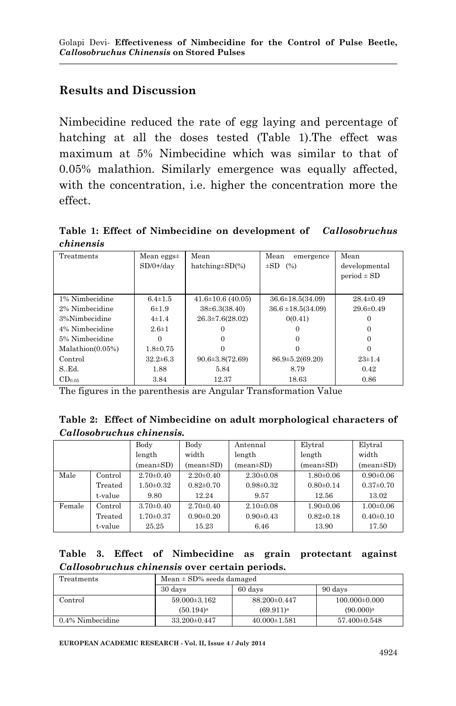## **Results and Discussion**

Nimbecidine reduced the rate of egg laying and percentage of hatching at all the doses tested (Table 1).The effect was maximum at 5% Nimbecidine which was similar to that of 0.05% malathion. Similarly emergence was equally affected, with the concentration, i.e. higher the concentration more the effect.

**Table 1: Effect of Nimbecidine on development of** *Callosobruchus chinensis*

| Treatments       | Mean eggs $\pm$ | Mean                    | Mean<br>emergence      | Mean            |
|------------------|-----------------|-------------------------|------------------------|-----------------|
|                  | $SD/0+/day$     | hatching $\pm SD(\%)$   | $\pm SD$ (%)           | developmental   |
|                  |                 |                         |                        | $period \pm SD$ |
|                  |                 |                         |                        |                 |
| 1% Nimbecidine   | $6.4 \pm 1.5$   | $41.6 \pm 10.6$ (40.05) | $36.6 \pm 18.5(34.09)$ | $28.4 \pm 0.49$ |
| 2% Nimbecidine   | 6±1.9           | $38\pm 6.3(38.40)$      | $36.6 \pm 18.5(34.09)$ | $29.6 \pm 0.49$ |
| 3%Nimbecidine    | $4\pm1.4$       | $26.3 \pm 7.6(28.02)$   | 0(0.41)                | 0               |
| 4% Nimbecidine   | $2.6 \pm 1$     |                         | 0                      |                 |
| 5% Nimbecidine   |                 |                         | $\Omega$               |                 |
| Malathion(0.05%) | $1.8 \pm 0.75$  |                         |                        |                 |
| Control          | $32.2 \pm 6.3$  | $90.6 \pm 3.8(72.69)$   | $86.9 \pm 5.2(69.20)$  | $23\pm1.4$      |
| $S_{\cdot}$ Ed.  | 1.88            | 5.84                    | 8.79                   | 0.42            |
| $CD_{0.05}$      | 3.84            | 12.37                   | 18.63                  | 0.86            |

The figures in the parenthesis are Angular Transformation Value

**Table 2: Effect of Nimbecidine on adult morphological characters of**  *Callosobruchus chinensis.*

|        |         | Body                          | Body                          | Antennal                      | Elytral         | Elytral         |
|--------|---------|-------------------------------|-------------------------------|-------------------------------|-----------------|-----------------|
|        |         | length                        | width                         | length                        | length          | width           |
|        |         | $(\text{mean} \pm \text{SD})$ | $(\text{mean} \pm \text{SD})$ | $(\text{mean} \pm \text{SD})$ | $mean \pm SD$   | $mean \pm SD$   |
| Male   | Control | $2.70 \pm 0.40$               | $2.20 \pm 0.40$               | $2.30\pm0.08$                 | $1.80 \pm 0.06$ | $0.90 \pm 0.06$ |
|        | Treated | $1.50 \pm 0.32$               | $0.82 \pm 0.70$               | $0.98 \pm 0.32$               | $0.80 \pm 0.14$ | $0.37 \pm 0.70$ |
|        | t-value | 9.80                          | 12.24                         | 9.57                          | 12.56           | 13.02           |
| Female | Control | $3.70 \pm 0.40$               | $2.70 \pm 0.40$               | $2.10 \pm 0.08$               | $1.90 \pm 0.06$ | $1.00 \pm 0.06$ |
|        | Treated | $1.70 \pm 0.37$               | $0.90 \pm 0.20$               | $0.90 \pm 0.43$               | $0.82 \pm 0.18$ | $0.40 \pm 0.10$ |
|        | t-value | 25.25                         | 15.23                         | 6.46                          | 13.90           | 17.50           |

|  |  | Table 3. Effect of Nimbecidine as grain protectant against |  |  |
|--|--|------------------------------------------------------------|--|--|
|  |  | Callosobruchus chinensis over certain periods.             |  |  |

| Treatments          | Mean $\pm$ SD% seeds damaged |                       |                       |  |  |
|---------------------|------------------------------|-----------------------|-----------------------|--|--|
|                     | 30 days<br>60 days           |                       | 90 days               |  |  |
| Control             | $59.000 \pm 3.162$           | $88.200 \pm 0.447$    | $100.000 \pm 0.000$   |  |  |
|                     | $(50.194)$ <sup>a</sup>      | (69.911) <sup>a</sup> | (90.000) <sup>a</sup> |  |  |
| $0.4\%$ Nimbecidine | $33.200 \pm 0.447$           | $40.000 \pm 1.581$    | $57.400 \pm 0.548$    |  |  |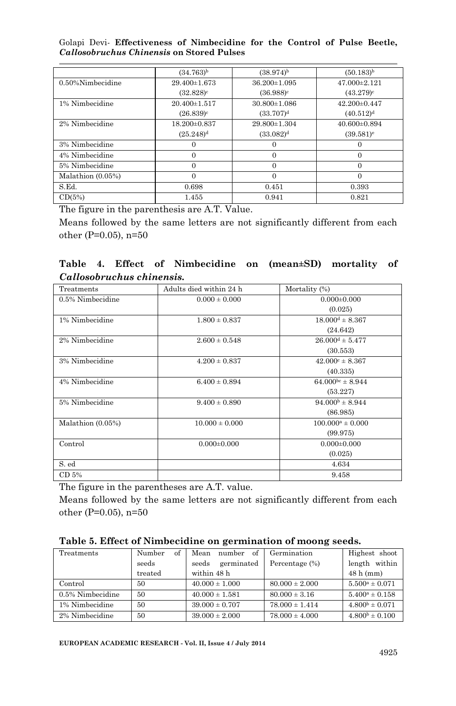Golapi Devi*-* **Effectiveness of Nimbecidine for the Control of Pulse Beetle,**  *Callosobruchus Chinensis* **on Stored Pulses**

|                      | $(34.763)^{b}$     | $(38.974)^{b}$        | $(50.183)^{b}$          |
|----------------------|--------------------|-----------------------|-------------------------|
| $0.50\%$ Nimbecidine | $29.400 \pm 1.673$ | 36.200±1.095          | $47.000 \pm 2.121$      |
|                      | $(32.828)^c$       | $(36.988)^c$          | $(43.279)^c$            |
| 1% Nimbecidine       | $20.400 \pm 1.517$ | $30.800 \pm 1.086$    | $42.200 \pm 0.447$      |
|                      | $(26.839)^c$       | (33.707) <sup>d</sup> | $(40.512)^{d}$          |
| 2% Nimbecidine       | 18.200±0.837       | 29.800 ± 1.304        | $40.600 \pm 0.894$      |
|                      | $(25.248)^{d}$     | (33.082) <sup>d</sup> | $(39.581)$ <sup>e</sup> |
| 3% Nimbecidine       | 0                  | 0                     |                         |
| 4% Nimbecidine       | 0                  | $\Omega$              | $\Omega$                |
| 5% Nimbecidine       | $\Omega$           | $\Omega$              | $\Omega$                |
| Malathion (0.05%)    | $\Omega$           | $\Omega$              | $\Omega$                |
| S.Ed.                | 0.698              | 0.451                 | 0.393                   |
| CD(5%)               | 1.455              | 0.941                 | 0.821                   |

The figure in the parenthesis are A.T. Value.

Means followed by the same letters are not significantly different from each other (P=0.05), n=50

**Table 4. Effect of Nimbecidine on (mean±SD) mortality of**  *Callosobruchus chinensis.*

| Treatments        | Adults died within 24 h | Mortality (%)              |
|-------------------|-------------------------|----------------------------|
| 0.5% Nimbecidine  | $0.000 \pm 0.000$       | $0.000 \pm 0.000$          |
|                   |                         | (0.025)                    |
| 1% Nimbecidine    | $1.800 \pm 0.837$       | $18.000d \pm 8.367$        |
|                   |                         | (24.642)                   |
| 2% Nimbecidine    | $2.600 \pm 0.548$       | $26.000d \pm 5.477$        |
|                   |                         | (30.553)                   |
| 3% Nimbecidine    | $4.200 \pm 0.837$       | $42.000^{\circ} \pm 8.367$ |
|                   |                         | (40.335)                   |
| 4% Nimbecidine    | $6.400 \pm 0.894$       | $64.000^{bc} \pm 8.944$    |
|                   |                         | (53.227)                   |
| 5% Nimbecidine    | $9.400 \pm 0.890$       | $94.000b \pm 8.944$        |
|                   |                         | (86.985)                   |
| Malathion (0.05%) | $10.000 \pm 0.000$      | $100.000^a \pm 0.000$      |
|                   |                         | (99.975)                   |
| Control           | $0.000 \pm 0.000$       | $0.000 \pm 0.000$          |
|                   |                         | (0.025)                    |
| S. ed             |                         | 4.634                      |
| CD 5%             |                         | 9.458                      |

The figure in the parentheses are A.T. value.

Means followed by the same letters are not significantly different from each other (P=0.05), n=50

| Table 5. Effect of Nimbecidine on germination of moong seeds. |  |
|---------------------------------------------------------------|--|
|---------------------------------------------------------------|--|

| Treatments       | of<br>Number | Mean<br>number<br>οf | Germination        | Highest shoot       |
|------------------|--------------|----------------------|--------------------|---------------------|
|                  | seeds        | germinated<br>seeds  | Percentage (%)     | within<br>length    |
|                  | treated      | within 48 h          |                    | $48h$ (mm)          |
| Control          | 50           | $40.000 \pm 1.000$   | $80.000 \pm 2.000$ | $5.500^a \pm 0.071$ |
| 0.5% Nimbecidine | 50           | $40.000 \pm 1.581$   | $80.000 \pm 3.16$  | $5.400^a \pm 0.158$ |
| 1% Nimbecidine   | 50           | $39.000 \pm 0.707$   | $78.000 \pm 1.414$ | $4.800b \pm 0.071$  |
| 2% Nimbecidine   | 50           | $39.000 \pm 2.000$   | $78.000 \pm 4.000$ | $4.800b \pm 0.100$  |

**EUROPEAN ACADEMIC RESEARCH - Vol. II, Issue 4 / July 2014**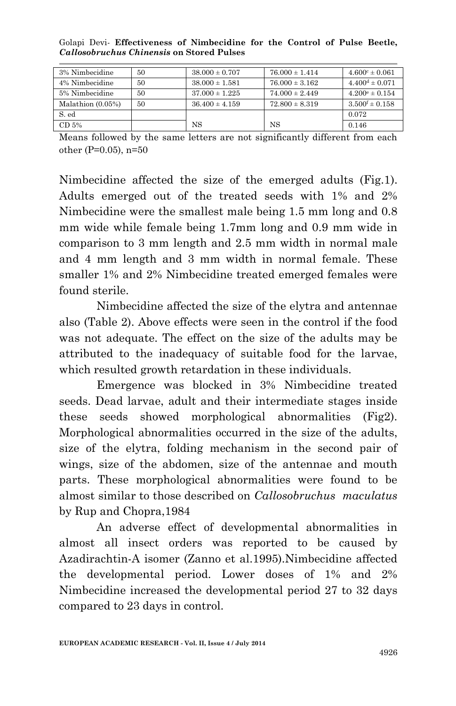Golapi Devi*-* **Effectiveness of Nimbecidine for the Control of Pulse Beetle,**  *Callosobruchus Chinensis* **on Stored Pulses**

| 3% Nimbecidine       | 50 | $38.000 \pm 0.707$ | $76.000 \pm 1.414$ | $4.600^{\circ} \pm 0.061$ |
|----------------------|----|--------------------|--------------------|---------------------------|
| 4% Nimbecidine       | 50 | $38.000 \pm 1.581$ | $76.000 \pm 3.162$ | $4.400d \pm 0.071$        |
| 5% Nimbecidine       | 50 | $37.000 \pm 1.225$ | $74.000 \pm 2.449$ | $4.200^{\circ} \pm 0.154$ |
| Malathion $(0.05\%)$ | 50 | $36.400 \pm 4.159$ | $72.800 \pm 8.319$ | $3.500^{\rm f} \pm 0.158$ |
| S. ed                |    |                    |                    | 0.072                     |
| CD 5%                |    | NS                 | NS                 | 0.146                     |

Means followed by the same letters are not significantly different from each other (P=0.05), n=50

Nimbecidine affected the size of the emerged adults (Fig.1). Adults emerged out of the treated seeds with 1% and 2% Nimbecidine were the smallest male being 1.5 mm long and 0.8 mm wide while female being 1.7mm long and 0.9 mm wide in comparison to 3 mm length and 2.5 mm width in normal male and 4 mm length and 3 mm width in normal female. These smaller 1% and 2% Nimbecidine treated emerged females were found sterile.

Nimbecidine affected the size of the elytra and antennae also (Table 2). Above effects were seen in the control if the food was not adequate. The effect on the size of the adults may be attributed to the inadequacy of suitable food for the larvae, which resulted growth retardation in these individuals.

Emergence was blocked in 3% Nimbecidine treated seeds. Dead larvae, adult and their intermediate stages inside these seeds showed morphological abnormalities (Fig2). Morphological abnormalities occurred in the size of the adults, size of the elytra, folding mechanism in the second pair of wings, size of the abdomen, size of the antennae and mouth parts. These morphological abnormalities were found to be almost similar to those described on *Callosobruchus maculatus* by Rup and Chopra,1984

An adverse effect of developmental abnormalities in almost all insect orders was reported to be caused by Azadirachtin-A isomer (Zanno et al.1995).Nimbecidine affected the developmental period. Lower doses of 1% and 2% Nimbecidine increased the developmental period 27 to 32 days compared to 23 days in control.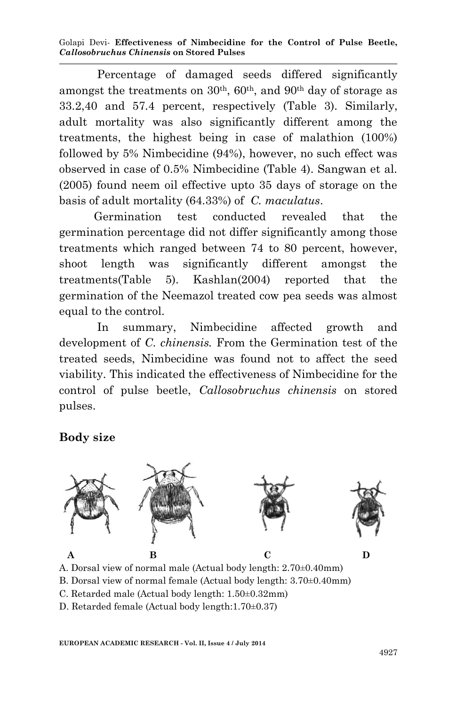Golapi Devi*-* **Effectiveness of Nimbecidine for the Control of Pulse Beetle,**  *Callosobruchus Chinensis* **on Stored Pulses**

 Percentage of damaged seeds differed significantly amongst the treatments on  $30<sup>th</sup>$ ,  $60<sup>th</sup>$ , and  $90<sup>th</sup>$  day of storage as 33.2,40 and 57.4 percent, respectively (Table 3). Similarly, adult mortality was also significantly different among the treatments, the highest being in case of malathion (100%) followed by 5% Nimbecidine (94%), however, no such effect was observed in case of 0.5% Nimbecidine (Table 4). Sangwan et al. (2005) found neem oil effective upto 35 days of storage on the basis of adult mortality (64.33%) of *C. maculatus*.

 Germination test conducted revealed that the germination percentage did not differ significantly among those treatments which ranged between 74 to 80 percent, however, shoot length was significantly different amongst the treatments(Table 5). Kashlan(2004) reported that the germination of the Neemazol treated cow pea seeds was almost equal to the control.

 In summary, Nimbecidine affected growth and development of *C*. *chinensis.* From the Germination test of the treated seeds, Nimbecidine was found not to affect the seed viability. This indicated the effectiveness of Nimbecidine for the control of pulse beetle, *Callosobruchus chinensis* on stored pulses.

#### **Body size**



A. Dorsal view of normal male (Actual body length: 2.70±0.40mm)

B. Dorsal view of normal female (Actual body length: 3.70±0.40mm)

C. Retarded male (Actual body length: 1.50±0.32mm)

D. Retarded female (Actual body length:1.70±0.37)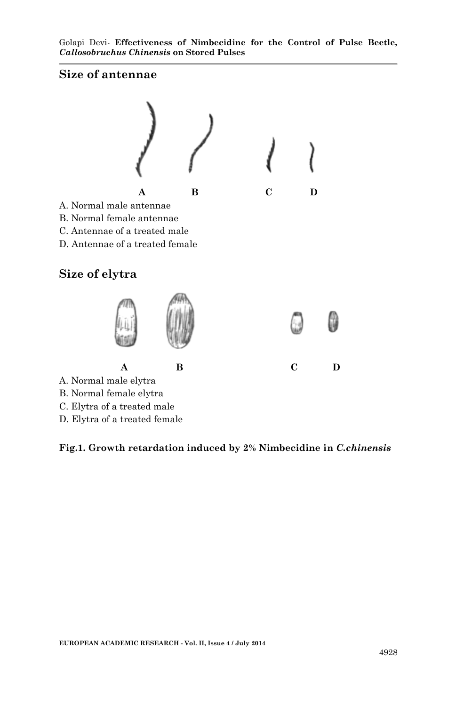#### **Size of antennae**



C. Elytra of a treated male

D. Elytra of a treated female

#### **Fig.1. Growth retardation induced by 2% Nimbecidine in** *C.chinensis*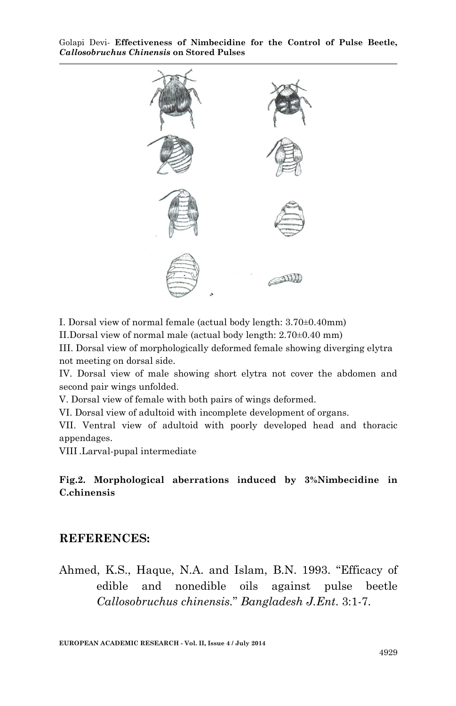Golapi Devi*-* **Effectiveness of Nimbecidine for the Control of Pulse Beetle,**  *Callosobruchus Chinensis* **on Stored Pulses**



I. Dorsal view of normal female (actual body length: 3.70±0.40mm)

II.Dorsal view of normal male (actual body length: 2.70±0.40 mm)

III. Dorsal view of morphologically deformed female showing diverging elytra not meeting on dorsal side.

IV. Dorsal view of male showing short elytra not cover the abdomen and second pair wings unfolded.

V. Dorsal view of female with both pairs of wings deformed.

VI. Dorsal view of adultoid with incomplete development of organs.

VII. Ventral view of adultoid with poorly developed head and thoracic appendages.

VIII .Larval-pupal intermediate

**Fig.2. Morphological aberrations induced by 3%Nimbecidine in C.chinensis**

#### **REFERENCES:**

Ahmed, K.S., Haque, N.A. and Islam, B.N. 1993. "Efficacy of edible and nonedible oils against pulse beetle *Callosobruchus chinensis.*" *Bangladesh J.Ent*. 3:1-7.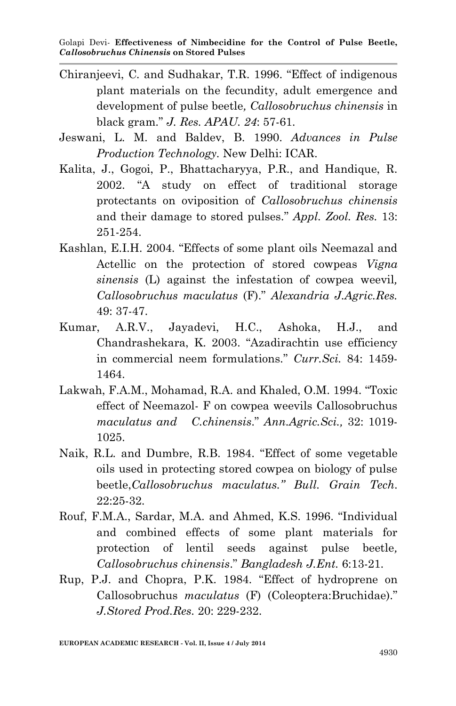- Chiranjeevi, C. and Sudhakar, T.R. 1996. "Effect of indigenous plant materials on the fecundity, adult emergence and development of pulse beetle*, Callosobruchus chinensis* in black gram." *J. Res. APAU. 24*: 57-61.
- Jeswani, L. M. and Baldev, B. 1990. *Advances in Pulse Production Technology.* New Delhi: ICAR.
- Kalita, J., Gogoi, P., Bhattacharyya, P.R., and Handique, R. 2002. "A study on effect of traditional storage protectants on oviposition of *Callosobruchus chinensis*  and their damage to stored pulses." *Appl. Zool. Res.* 13: 251-254.
- Kashlan, E.I.H. 2004. "Effects of some plant oils Neemazal and Actellic on the protection of stored cowpeas *Vigna sinensis* (L) against the infestation of cowpea weevil*, Callosobruchus maculatus* (F)." *Alexandria J.Agric.Res.*   $49.37 - 47$
- Kumar, A.R.V., Jayadevi, H.C., Ashoka, H.J., and Chandrashekara, K. 2003. "Azadirachtin use efficiency in commercial neem formulations." *Curr.Sci.* 84: 1459- 1464.
- Lakwah, F.A.M., Mohamad, R.A. and Khaled, O.M. 1994. "Toxic effect of Neemazol- F on cowpea weevils Callosobruchus *maculatus and C.chinensis*." *Ann.Agric.Sci.,* 32: 1019- 1025.
- Naik, R.L. and Dumbre, R.B. 1984. "Effect of some vegetable oils used in protecting stored cowpea on biology of pulse beetle,*Callosobruchus maculatus." Bull. Grain Tech*. 22:25-32.
- Rouf, F.M.A., Sardar, M.A. and Ahmed, K.S. 1996. "Individual and combined effects of some plant materials for protection of lentil seeds against pulse beetle*, Callosobruchus chinensis*." *Bangladesh J.Ent.* 6:13-21.
- Rup, P.J. and Chopra, P.K. 1984. "Effect of hydroprene on Callosobruchus *maculatus* (F) (Coleoptera:Bruchidae)." *J.Stored Prod.Res.* 20: 229-232.